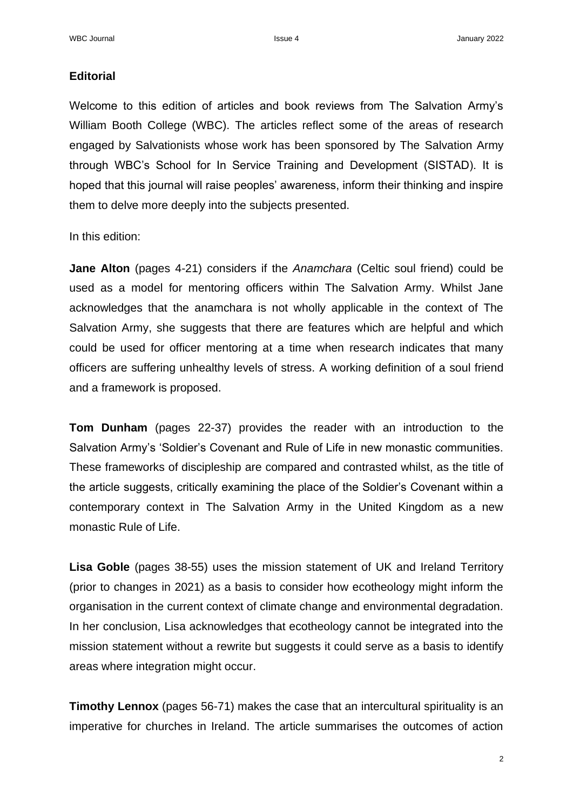## **Editorial**

Welcome to this edition of articles and book reviews from The Salvation Army's William Booth College (WBC). The articles reflect some of the areas of research engaged by Salvationists whose work has been sponsored by The Salvation Army through WBC's School for In Service Training and Development (SISTAD). It is hoped that this journal will raise peoples' awareness, inform their thinking and inspire them to delve more deeply into the subjects presented.

In this edition:

**Jane Alton** (pages 4-21) considers if the *Anamchara* (Celtic soul friend) could be used as a model for mentoring officers within The Salvation Army. Whilst Jane acknowledges that the anamchara is not wholly applicable in the context of The Salvation Army, she suggests that there are features which are helpful and which could be used for officer mentoring at a time when research indicates that many officers are suffering unhealthy levels of stress. A working definition of a soul friend and a framework is proposed.

**Tom Dunham** (pages 22-37) provides the reader with an introduction to the Salvation Army's 'Soldier's Covenant and Rule of Life in new monastic communities. These frameworks of discipleship are compared and contrasted whilst, as the title of the article suggests, critically examining the place of the Soldier's Covenant within a contemporary context in The Salvation Army in the United Kingdom as a new monastic Rule of Life.

**Lisa Goble** (pages 38-55) uses the mission statement of UK and Ireland Territory (prior to changes in 2021) as a basis to consider how ecotheology might inform the organisation in the current context of climate change and environmental degradation. In her conclusion, Lisa acknowledges that ecotheology cannot be integrated into the mission statement without a rewrite but suggests it could serve as a basis to identify areas where integration might occur.

**Timothy Lennox** (pages 56-71) makes the case that an intercultural spirituality is an imperative for churches in Ireland. The article summarises the outcomes of action